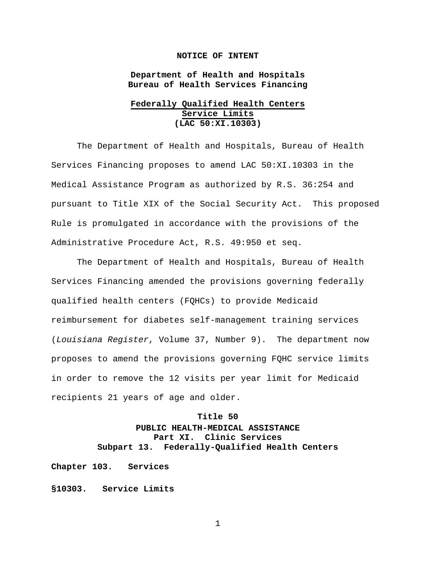## **NOTICE OF INTENT**

**Department of Health and Hospitals Bureau of Health Services Financing**

## **Federally Qualified Health Centers Service Limits (LAC 50:XI.10303)**

The Department of Health and Hospitals, Bureau of Health Services Financing proposes to amend LAC 50:XI.10303 in the Medical Assistance Program as authorized by R.S. 36:254 and pursuant to Title XIX of the Social Security Act. This proposed Rule is promulgated in accordance with the provisions of the Administrative Procedure Act, R.S. 49:950 et seq.

The Department of Health and Hospitals, Bureau of Health Services Financing amended the provisions governing federally qualified health centers (FQHCs) to provide Medicaid reimbursement for diabetes self-management training services (*Louisiana Register*, Volume 37, Number 9). The department now proposes to amend the provisions governing FQHC service limits in order to remove the 12 visits per year limit for Medicaid recipients 21 years of age and older.

## **Title 50**

## **PUBLIC HEALTH-MEDICAL ASSISTANCE Part XI. Clinic Services Subpart 13. Federally-Qualified Health Centers**

**Chapter 103. Services**

**§10303. Service Limits**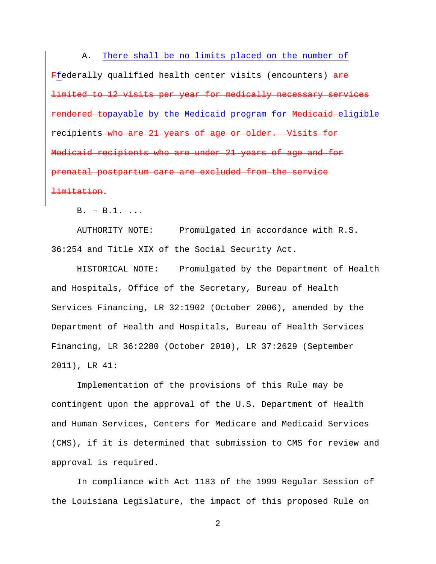A. There shall be no limits placed on the number of Ffederally qualified health center visits (encounters) are limited to 12 visits per year for medically necessary services rendered topayable by the Medicaid program for Medicaid eligible recipients who are 21 years of age or older. Visits for Medicaid recipients who are under 21 years of age and for prenatal postpartum care are excluded from the service limitation.

B. – B.1. ...

AUTHORITY NOTE: Promulgated in accordance with R.S. 36:254 and Title XIX of the Social Security Act.

HISTORICAL NOTE: Promulgated by the Department of Health and Hospitals, Office of the Secretary, Bureau of Health Services Financing, LR 32:1902 (October 2006), amended by the Department of Health and Hospitals, Bureau of Health Services Financing, LR 36:2280 (October 2010), LR 37:2629 (September 2011), LR 41:

Implementation of the provisions of this Rule may be contingent upon the approval of the U.S. Department of Health and Human Services, Centers for Medicare and Medicaid Services (CMS), if it is determined that submission to CMS for review and approval is required.

In compliance with Act 1183 of the 1999 Regular Session of the Louisiana Legislature, the impact of this proposed Rule on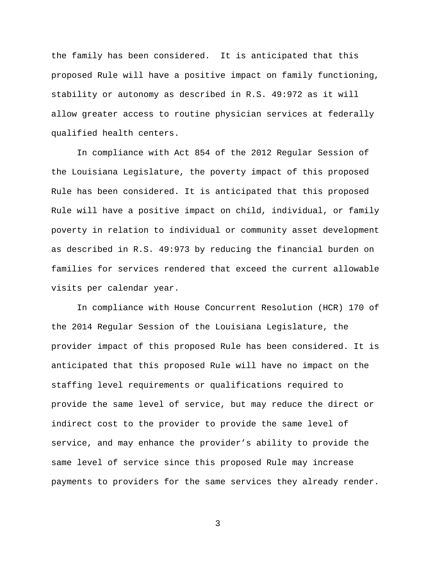the family has been considered. It is anticipated that this proposed Rule will have a positive impact on family functioning, stability or autonomy as described in R.S. 49:972 as it will allow greater access to routine physician services at federally qualified health centers.

In compliance with Act 854 of the 2012 Regular Session of the Louisiana Legislature, the poverty impact of this proposed Rule has been considered. It is anticipated that this proposed Rule will have a positive impact on child, individual, or family poverty in relation to individual or community asset development as described in R.S. 49:973 by reducing the financial burden on families for services rendered that exceed the current allowable visits per calendar year.

In compliance with House Concurrent Resolution (HCR) 170 of the 2014 Regular Session of the Louisiana Legislature, the provider impact of this proposed Rule has been considered. It is anticipated that this proposed Rule will have no impact on the staffing level requirements or qualifications required to provide the same level of service, but may reduce the direct or indirect cost to the provider to provide the same level of service, and may enhance the provider's ability to provide the same level of service since this proposed Rule may increase payments to providers for the same services they already render.